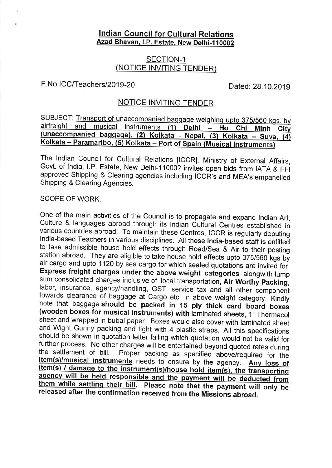# lndian Council for Cultural Relations Azad Bhavan, I.P. Estate, New Delhi-110002.

## <u>NOTICE INVITING TEND</u> SECTION-1

# F.No.ICC/Teachers/2019-20

Dated: 28.10.2019

#### <u>NOTICE INVITING TENDER</u>

SUBJECT: Transport of unaccompanied baggage weighing upto 375/560 kgs. by airfreight and musical instruments (1) Delhi - Ho Chi Minh City (unaccompanied baggage), (2) Kolkata - Nepal, (3) Kolkata - Suva, (4) Kolkata - Paramaribo, (5) Kolkata - Port of Spain (Musical Instruments)

The lndian Council for Cultural Relations [ICCR], Ministry of External Affairs, Govt. of India, I.P. Estate, New Delhi-110002 invites open bids from IATA & FFI approved Shipping & Clearing agencies including ICCR's and MEA's empanelled<br>Shipping & Clearing Agencies Shipping & Clearing Agencies.

## SCOPE OF WORK:

One of the main activities of the Council is to propagate and expand Indian Art, Culture & languages abroad through its Indian Cultural Centres established in various countries abroad. To maintain these Centres, ICCR is re India-based Teachers in various disciplines. All these India-based staff is entitled to take admissible house hold effects through Road/Sea & Air to their posting<br>station abroad. They are eligible to take house hold effects upto 375/560 kgs by air cargo and upto 1120 by sea cargo for which sealed quotations are invited for<br>Express freight charges under the above weight categories alongwith lump sum consolidated charges inclusive of local transportation, Air Worthy Packing, labor, insurance, agency/handling, GST, service tax and all other component towards clearance of baggage at Cargo etc. in above weight category. Kindly note that baggage should be packed in 15 ply thick card board boxes (wooden boxes for musical instruments) with laminated sheets, 1" Thermacol . hote that baggage should be packed in 15 ply thick card board boxes<br>(wooden boxes for musical instruments) with laminated sheets, 1<sup>7</sup> Thermacol sheet and wrapped in bubal paper. Boxes would also cover with laminated sheet and Wight Gunny packing and tight with 4 plastic straps. All this specifications should be shown in quotation letter failing which quotation wou further process. No other charges will be entertained beyond quoted rates during<br>the settlement of bill. Proper packing as specified above/required for the<br>item(s)/musical instruments needs to ensure by the agency. Any los them while settling their bill. Please note that the payment will only be released after the confirmation received from the Missions abroad.